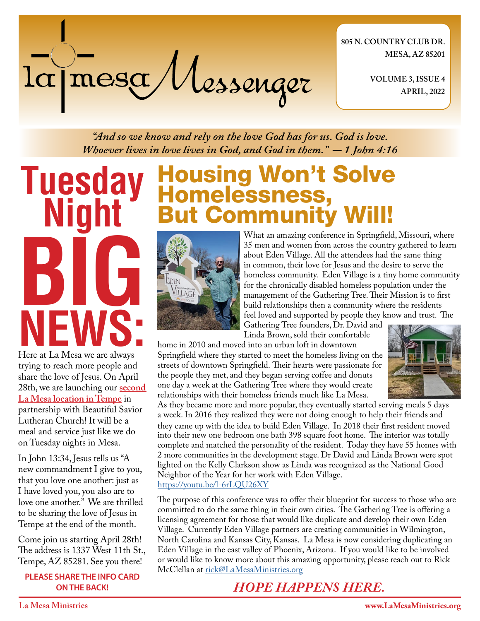# la mesa Messenger

**805 N. COUNTRY CLUB DR. MESA, AZ 85201**

> **VOLUME 3, ISSUE 4 APRIL, 2022**

*"And so we know and rely on the love God has for us. God is love. Whoever lives in love lives in God, and God in them." - 1 John 4:16*

**Tuesday Night BIG NEWS:** Here at La Mesa we are always

trying to reach more people and share the love of Jesus. On April 28th, we are launching our **second La Mesa location in Tempe** in partnership with Beautiful Savior Lutheran Church! It will be a meal and service just like we do on Tuesday nights in Mesa.

In John 13:34, Jesus tells us "A new commandment I give to you, that you love one another: just as I have loved you, you also are to love one another." We are thrilled to be sharing the love of Jesus in Tempe at the end of the month.

Come join us starting April 28th! The address is 1337 West 11th St., Tempe, AZ 85281. See you there!

**PLEASE SHARE THE INFO CARD ON THE BACK!**

# Housing Won't Solve Homelessness, **But Community**



What an amazing conference in Springfield, Missouri, where 35 men and women from across the country gathered to learn about Eden Village. All the attendees had the same thing in common, their love for Jesus and the desire to serve the homeless community. Eden Village is a tiny home community for the chronically disabled homeless population under the management of the Gathering Tree. Their Mission is to first build relationships then a community where the residents feel loved and supported by people they know and trust. The

Gathering Tree founders, Dr. David and Linda Brown, sold their comfortable

home in 2010 and moved into an urban loft in downtown Springfield where they started to meet the homeless living on the streets of downtown Springfield. Their hearts were passionate for the people they met, and they began serving coffee and donuts one day a week at the Gathering Tree where they would create relationships with their homeless friends much like La Mesa.



As they became more and more popular, they eventually started serving meals 5 days a week. In 2016 they realized they were not doing enough to help their friends and they came up with the idea to build Eden Village. In 2018 their first resident moved into their new one bedroom one bath 398 square foot home. The interior was totally complete and matched the personality of the resident. Today they have 55 homes with 2 more communities in the development stage. Dr David and Linda Brown were spot lighted on the Kelly Clarkson show as Linda was recognized as the National Good Neighbor of the Year for her work with Eden Village. <https://youtu.be/l-6rLQU26XY>

The purpose of this conference was to offer their blueprint for success to those who are committed to do the same thing in their own cities. The Gathering Tree is offering a licensing agreement for those that would like duplicate and develop their own Eden Village. Currently Eden Village partners are creating communities in Wilmington, North Carolina and Kansas City, Kansas. La Mesa is now considering duplicating an Eden Village in the east valley of Phoenix, Arizona. If you would like to be involved or would like to know more about this amazing opportunity, please reach out to Rick McClellan at [rick@LaMesaMinistries.org](mailto:rick%40lamesaministries.org?subject=)

### *HOPE HAPPENS HERE.*